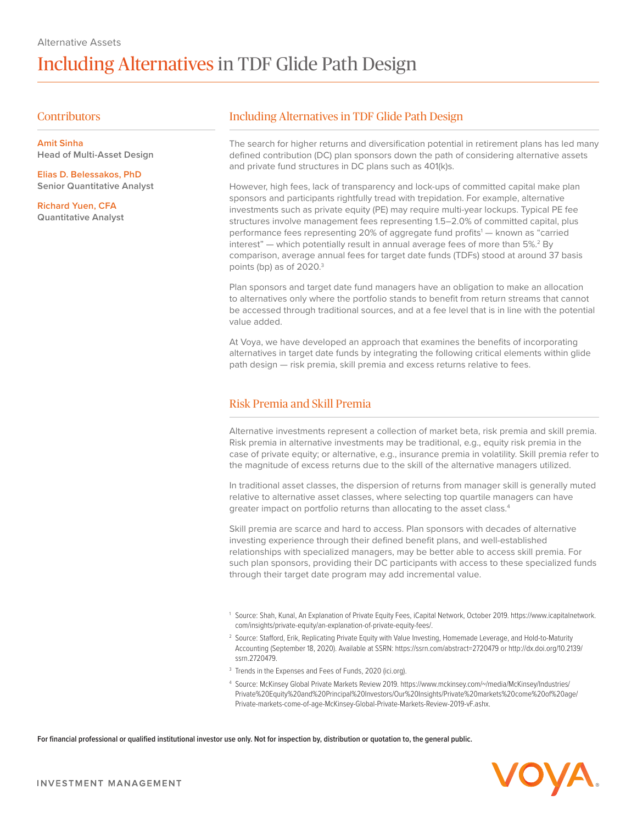## **Contributors**

**Amit Sinha Head of Multi-Asset Design**

**Elias D. Belessakos, PhD Senior Quantitative Analyst**

**Richard Yuen, CFA Quantitative Analyst**

# Including Alternatives in TDF Glide Path Design

The search for higher returns and diversification potential in retirement plans has led many defined contribution (DC) plan sponsors down the path of considering alternative assets and private fund structures in DC plans such as 401(k)s.

However, high fees, lack of transparency and lock-ups of committed capital make plan sponsors and participants rightfully tread with trepidation. For example, alternative investments such as private equity (PE) may require multi-year lockups. Typical PE fee structures involve management fees representing 1.5–2.0% of committed capital, plus performance fees representing 20% of aggregate fund profits<sup>1</sup> — known as "carried interest" — which potentially result in annual average fees of more than  $5\%$ .<sup>2</sup> By comparison, average annual fees for target date funds (TDFs) stood at around 37 basis points (bp) as of 2020.<sup>3</sup>

Plan sponsors and target date fund managers have an obligation to make an allocation to alternatives only where the portfolio stands to benefit from return streams that cannot be accessed through traditional sources, and at a fee level that is in line with the potential value added.

At Voya, we have developed an approach that examines the benefits of incorporating alternatives in target date funds by integrating the following critical elements within glide path design — risk premia, skill premia and excess returns relative to fees.

# Risk Premia and Skill Premia

Alternative investments represent a collection of market beta, risk premia and skill premia. Risk premia in alternative investments may be traditional, e.g., equity risk premia in the case of private equity; or alternative, e.g., insurance premia in volatility. Skill premia refer to the magnitude of excess returns due to the skill of the alternative managers utilized.

In traditional asset classes, the dispersion of returns from manager skill is generally muted relative to alternative asset classes, where selecting top quartile managers can have greater impact on portfolio returns than allocating to the asset class.<sup>4</sup>

Skill premia are scarce and hard to access. Plan sponsors with decades of alternative investing experience through their defined benefit plans, and well-established relationships with specialized managers, may be better able to access skill premia. For such plan sponsors, providing their DC participants with access to these specialized funds through their target date program may add incremental value.

- <sup>1</sup> Source: Shah, Kunal, An Explanation of Private Equity Fees, iCapital Network, October 2019. https://www.icapitalnetwork. com/insights/private-equity/an-explanation-of-private-equity-fees/.
- <sup>2</sup> Source: Stafford, Erik, Replicating Private Equity with Value Investing, Homemade Leverage, and Hold-to-Maturity Accounting (September 18, 2020). Available at SSRN: https://ssrn.com/abstract=2720479 or http://dx.doi.org/10.2139/ ssrn.2720479.
- <sup>3</sup> Trends in the Expenses and Fees of Funds, 2020 (ici.org).
- <sup>4</sup> Source: McKinsey Global Private Markets Review 2019. https://www.mckinsey.com/~/media/McKinsey/Industries/ Private%20Equity%20and%20Principal%20Investors/Our%20Insights/Private%20markets%20come%20of%20age/ Private-markets-come-of-age-McKinsey-Global-Private-Markets-Review-2019-vF.ashx.

**For financial professional or qualified institutional investor use only. Not for inspection by, distribution or quotation to, the general public.**

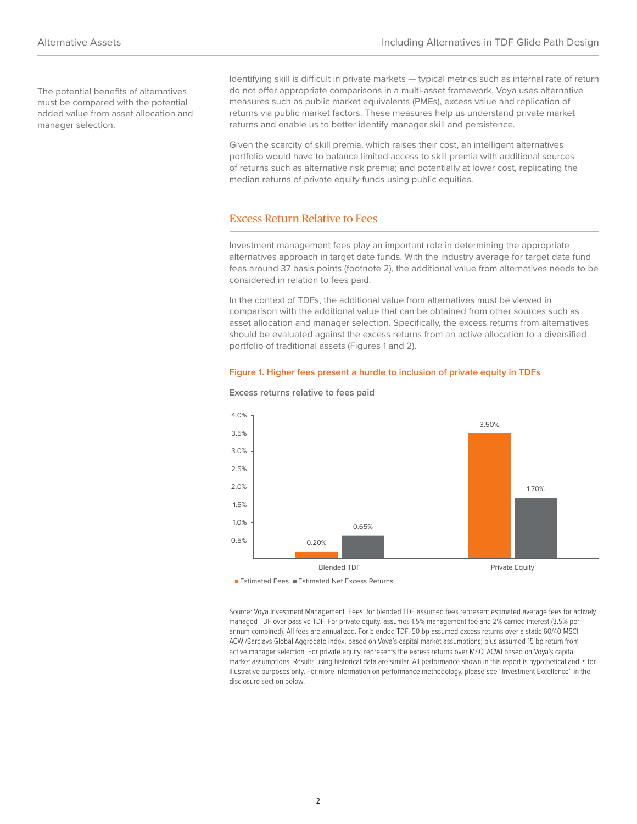The potential benefits of alternatives must be compared with the potential added value from asset allocation and manager selection.

Identifying skill is difficult in private markets — typical metrics such as internal rate of return do not offer appropriate comparisons in a multi-asset framework. Voya uses alternative measures such as public market equivalents (PMEs), excess value and replication of returns via public market factors. These measures help us understand private market returns and enable us to better identify manager skill and persistence.

Given the scarcity of skill premia, which raises their cost, an intelligent alternatives portfolio would have to balance limited access to skill premia with additional sources of returns such as alternative risk premia; and potentially at lower cost, replicating the median returns of private equity funds using public equities.

## Excess Return Relative to Fees

Investment management fees play an important role in determining the appropriate alternatives approach in target date funds. With the industry average for target date fund fees around 37 basis points (footnote 2), the additional value from alternatives needs to be considered in relation to fees paid.

In the context of TDFs, the additional value from alternatives must be viewed in comparison with the additional value that can be obtained from other sources such as asset allocation and manager selection. Specifically, the excess returns from alternatives should be evaluated against the excess returns from an active allocation to a diversified portfolio of traditional assets (Figures 1 and 2).

### **Figure 1. Higher fees present a hurdle to inclusion of private equity in TDFs**



#### **Excess returns relative to fees paid**

■ Estimated Fees ■ Estimated Net Excess Returns

Source: Voya Investment Management. Fees: for blended TDF assumed fees represent estimated average fees for actively managed TDF over passive TDF. For private equity, assumes 1.5% management fee and 2% carried interest (3.5% per annum combined). All fees are annualized. For blended TDF, 50 bp assumed excess returns over a static 60/40 MSCI ACWI/Barclays Global Aggregate index, based on Voya's capital market assumptions; plus assumed 15 bp return from active manager selection. For private equity, represents the excess returns over MSCI ACWI based on Voya's capital market assumptions. Results using historical data are similar. All performance shown in this report is hypothetical and is for illustrative purposes only. For more information on performance methodology, please see "Investment Excellence" in the disclosure section below.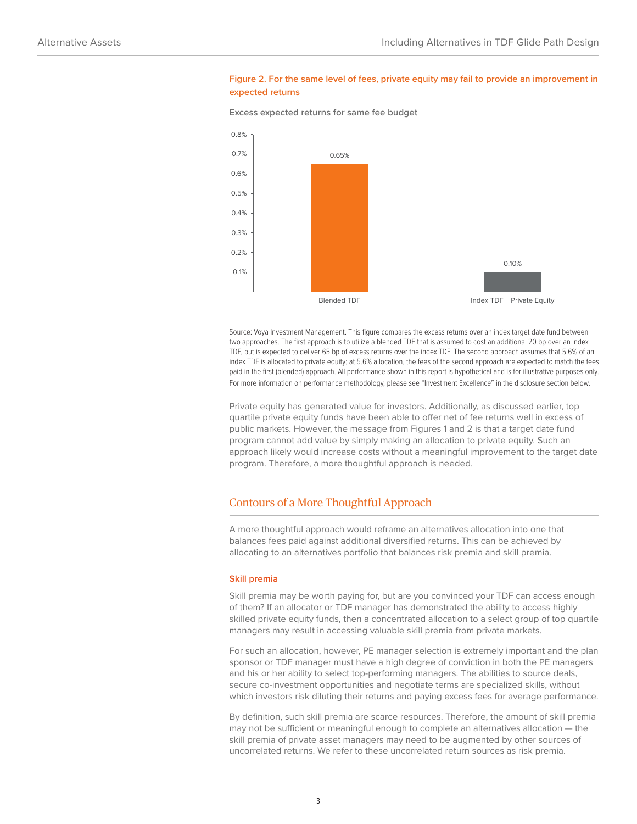### **Figure 2. For the same level of fees, private equity may fail to provide an improvement in expected returns**

**Excess expected returns for same fee budget**



Source: Voya Investment Management. This figure compares the excess returns over an index target date fund between two approaches. The first approach is to utilize a blended TDF that is assumed to cost an additional 20 bp over an index TDF, but is expected to deliver 65 bp of excess returns over the index TDF. The second approach assumes that 5.6% of an index TDF is allocated to private equity; at 5.6% allocation, the fees of the second approach are expected to match the fees paid in the first (blended) approach. All performance shown in this report is hypothetical and is for illustrative purposes only. For more information on performance methodology, please see "Investment Excellence" in the disclosure section below.

Private equity has generated value for investors. Additionally, as discussed earlier, top quartile private equity funds have been able to offer net of fee returns well in excess of public markets. However, the message from Figures 1 and 2 is that a target date fund program cannot add value by simply making an allocation to private equity. Such an approach likely would increase costs without a meaningful improvement to the target date program. Therefore, a more thoughtful approach is needed.

# Contours of a More Thoughtful Approach

A more thoughtful approach would reframe an alternatives allocation into one that balances fees paid against additional diversified returns. This can be achieved by allocating to an alternatives portfolio that balances risk premia and skill premia.

#### **Skill premia**

Skill premia may be worth paying for, but are you convinced your TDF can access enough of them? If an allocator or TDF manager has demonstrated the ability to access highly skilled private equity funds, then a concentrated allocation to a select group of top quartile managers may result in accessing valuable skill premia from private markets.

For such an allocation, however, PE manager selection is extremely important and the plan sponsor or TDF manager must have a high degree of conviction in both the PE managers and his or her ability to select top-performing managers. The abilities to source deals, secure co-investment opportunities and negotiate terms are specialized skills, without which investors risk diluting their returns and paying excess fees for average performance.

By definition, such skill premia are scarce resources. Therefore, the amount of skill premia may not be sufficient or meaningful enough to complete an alternatives allocation — the skill premia of private asset managers may need to be augmented by other sources of uncorrelated returns. We refer to these uncorrelated return sources as risk premia.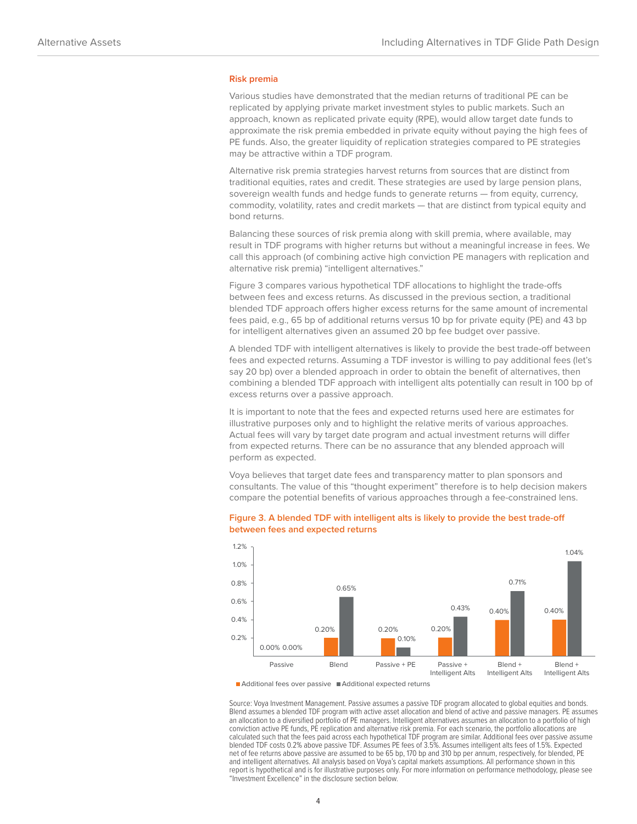#### **Risk premia**

Various studies have demonstrated that the median returns of traditional PE can be replicated by applying private market investment styles to public markets. Such an approach, known as replicated private equity (RPE), would allow target date funds to approximate the risk premia embedded in private equity without paying the high fees of PE funds. Also, the greater liquidity of replication strategies compared to PE strategies may be attractive within a TDF program.

Alternative risk premia strategies harvest returns from sources that are distinct from traditional equities, rates and credit. These strategies are used by large pension plans, sovereign wealth funds and hedge funds to generate returns — from equity, currency, commodity, volatility, rates and credit markets — that are distinct from typical equity and bond returns.

Balancing these sources of risk premia along with skill premia, where available, may result in TDF programs with higher returns but without a meaningful increase in fees. We call this approach (of combining active high conviction PE managers with replication and alternative risk premia) "intelligent alternatives."

Figure 3 compares various hypothetical TDF allocations to highlight the trade-offs between fees and excess returns. As discussed in the previous section, a traditional blended TDF approach offers higher excess returns for the same amount of incremental fees paid, e.g., 65 bp of additional returns versus 10 bp for private equity (PE) and 43 bp for intelligent alternatives given an assumed 20 bp fee budget over passive.

A blended TDF with intelligent alternatives is likely to provide the best trade-off between fees and expected returns. Assuming a TDF investor is willing to pay additional fees (let's say 20 bp) over a blended approach in order to obtain the benefit of alternatives, then combining a blended TDF approach with intelligent alts potentially can result in 100 bp of excess returns over a passive approach.

It is important to note that the fees and expected returns used here are estimates for illustrative purposes only and to highlight the relative merits of various approaches. Actual fees will vary by target date program and actual investment returns will differ from expected returns. There can be no assurance that any blended approach will perform as expected.

Voya believes that target date fees and transparency matter to plan sponsors and consultants. The value of this "thought experiment" therefore is to help decision makers compare the potential benefits of various approaches through a fee-constrained lens.



### **Figure 3. A blended TDF with intelligent alts is likely to provide the best trade-off between fees and expected returns**

■ Additional fees over passive ■ Additional expected returns

Source: Voya Investment Management. Passive assumes a passive TDF program allocated to global equities and bonds. Blend assumes a blended TDF program with active asset allocation and blend of active and passive managers. PE assumes an allocation to a diversified portfolio of PE managers. Intelligent alternatives assumes an allocation to a portfolio of high conviction active PE funds, PE replication and alternative risk premia. For each scenario, the portfolio allocations are calculated such that the fees paid across each hypothetical TDF program are similar. Additional fees over passive assume blended TDF costs 0.2% above passive TDF. Assumes PE fees of 3.5%. Assumes intelligent alts fees of 1.5%. Expected net of fee returns above passive are assumed to be 65 bp, 170 bp and 310 bp per annum, respectively, for blended, PE and intelligent alternatives. All analysis based on Voya's capital markets assumptions. All performance shown in this report is hypothetical and is for illustrative purposes only. For more information on performance methodology, please see "Investment Excellence" in the disclosure section below.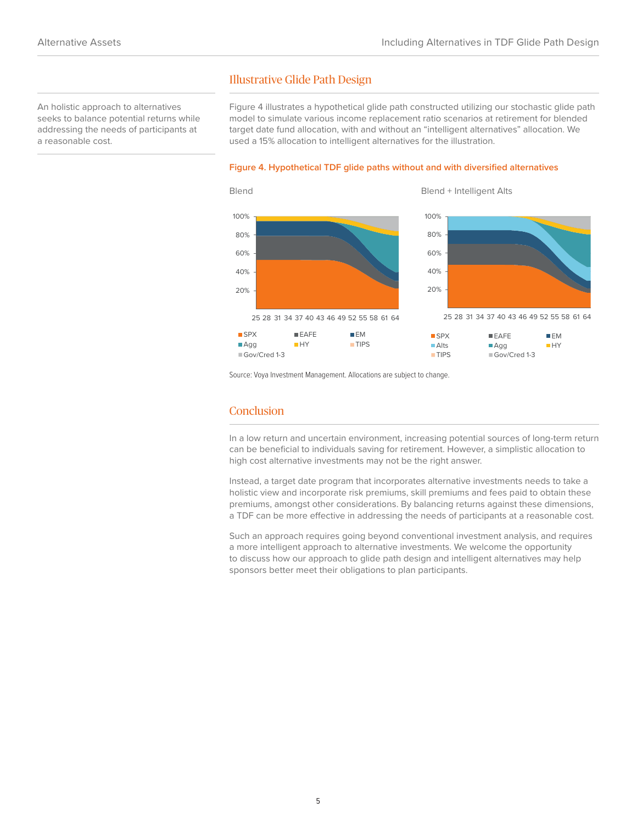## An holistic approach to alternatives seeks to balance potential returns while addressing the needs of participants at a reasonable cost.

Figure 4 illustrates a hypothetical glide path constructed utilizing our stochastic glide path model to simulate various income replacement ratio scenarios at retirement for blended target date fund allocation, with and without an "intelligent alternatives" allocation. We used a 15% allocation to intelligent alternatives for the illustration.

### **Figure 4. Hypothetical TDF glide paths without and with diversified alternatives**



Source: Voya Investment Management. Allocations are subject to change.

Illustrative Glide Path Design

# **Conclusion**

In a low return and uncertain environment, increasing potential sources of long-term return can be beneficial to individuals saving for retirement. However, a simplistic allocation to high cost alternative investments may not be the right answer.

Instead, a target date program that incorporates alternative investments needs to take a holistic view and incorporate risk premiums, skill premiums and fees paid to obtain these premiums, amongst other considerations. By balancing returns against these dimensions, a TDF can be more effective in addressing the needs of participants at a reasonable cost.

Such an approach requires going beyond conventional investment analysis, and requires a more intelligent approach to alternative investments. We welcome the opportunity to discuss how our approach to glide path design and intelligent alternatives may help sponsors better meet their obligations to plan participants.